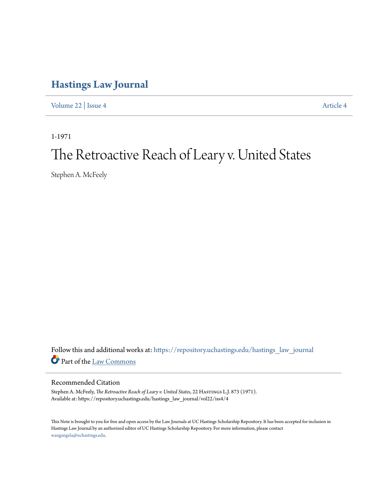# **[Hastings Law Journal](https://repository.uchastings.edu/hastings_law_journal?utm_source=repository.uchastings.edu%2Fhastings_law_journal%2Fvol22%2Fiss4%2F4&utm_medium=PDF&utm_campaign=PDFCoverPages)**

[Volume 22](https://repository.uchastings.edu/hastings_law_journal/vol22?utm_source=repository.uchastings.edu%2Fhastings_law_journal%2Fvol22%2Fiss4%2F4&utm_medium=PDF&utm_campaign=PDFCoverPages) | [Issue 4](https://repository.uchastings.edu/hastings_law_journal/vol22/iss4?utm_source=repository.uchastings.edu%2Fhastings_law_journal%2Fvol22%2Fiss4%2F4&utm_medium=PDF&utm_campaign=PDFCoverPages) [Article 4](https://repository.uchastings.edu/hastings_law_journal/vol22/iss4/4?utm_source=repository.uchastings.edu%2Fhastings_law_journal%2Fvol22%2Fiss4%2F4&utm_medium=PDF&utm_campaign=PDFCoverPages)

1-1971

# The Retroactive Reach of Leary v. United States

Stephen A. McFeely

Follow this and additional works at: [https://repository.uchastings.edu/hastings\\_law\\_journal](https://repository.uchastings.edu/hastings_law_journal?utm_source=repository.uchastings.edu%2Fhastings_law_journal%2Fvol22%2Fiss4%2F4&utm_medium=PDF&utm_campaign=PDFCoverPages) Part of the [Law Commons](http://network.bepress.com/hgg/discipline/578?utm_source=repository.uchastings.edu%2Fhastings_law_journal%2Fvol22%2Fiss4%2F4&utm_medium=PDF&utm_campaign=PDFCoverPages)

### Recommended Citation

Stephen A. McFeely, *The Retroactive Reach of Leary v. United States*, 22 HASTINGS L.J. 873 (1971). Available at: https://repository.uchastings.edu/hastings\_law\_journal/vol22/iss4/4

This Note is brought to you for free and open access by the Law Journals at UC Hastings Scholarship Repository. It has been accepted for inclusion in Hastings Law Journal by an authorized editor of UC Hastings Scholarship Repository. For more information, please contact [wangangela@uchastings.edu](mailto:wangangela@uchastings.edu).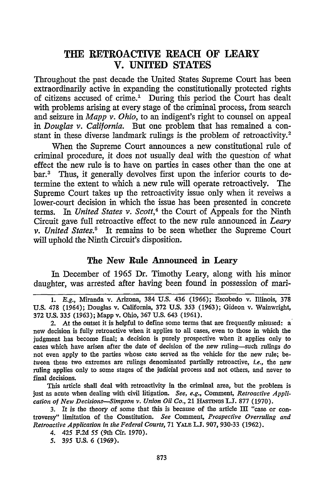# **THE RETROACTIVE REACH OF LEARY V. UNITED STATES**

Throughout the past decade the United States Supreme Court has been extraordinarily active in expanding the constitutionally protected rights of citizens accused of crime.1 During this period the Court has dealt with problems arising at every stage of the criminal process, from search and seizure in *Mapp v. Ohio,* to an indigent's right to counsel on appeal *in Douglas v. California.* But one problem that has remained a constant in these diverse landmark rulings is the problem of retroactivity.<sup>2</sup>

When the Supreme Court announces a new constitutional rule of criminal procedure, it does not usually deal with the question of what effect the new rule is to have on parties in cases other than the one at bar.<sup>3</sup> Thus, it generally devolves first upon the inferior courts to determine the extent to which a new rule will operate retroactively. The Supreme Court takes up the retroactivity issue only when it reveiws a lower-court decision in which the issue has been presented in concrete terms. In *United States v. Scott*,<sup>4</sup> the Court of Appeals for the Ninth Circuit gave full retroactive effect to the new rule announced in *Leary v. United States.5* It remains to be seen whether the Supreme Court will uphold the Ninth Circuit's disposition.

#### The New **Rule Announced in** Leary

In December of 1965 **Dr.** Timothy Leary, along with his minor daughter, was arrested after having been found in possession of mari-

This article shall deal with retroactivity in the criminal area, but the problem is just as acute when dealing with civil litigation. *See, e.g.,* Comment, *Retroactive Application of New Decisions-Simpson v. Union Oil Co.,* 21 **HASTINGS LJ.** 877 (1970).

3. It is the theory of some that this is because of the article III "case or controversy" limitation of the Constitution. *See* Comment, *Prospective Overruling and Retroactive Application in the Federal Courts,* 71 YALE **L.J.** 907, 930-33 (1962).

*<sup>1.</sup>* E.g., Miranda v. Arizona, 384 U.S. 436 (1966); Escobedo v. Illinois, 378 U.S. 478 (1964); Douglas v. California, 372 U.S. 353 (1963); Gideon v. Wainwright, 372 U.S. 335 (1963); Mapp v. Ohio, 367 U.S. 643 (1961).

<sup>2.</sup> At the outset it is helpful to define some terms that are frequently misused: a new decision is **fully** retroactive when it applies to all cases, even to those in which the judgment has become final; a decision is purely prospective when it applies only to cases which have arisen after the date of decision of the new ruling--such rulings do not even apply to the parties whose case served as the vehicle for the new rule; between these two extremes are rulings denominated partially retroactive, *i.e.,* the new ruling applies only to some stages of the judicial process and not others, and never to final decisions.

<sup>4. 425</sup> **F.2d** *55* (9th Cir. 1970).

*<sup>5.</sup>* 395 **U.S.** 6 (1969).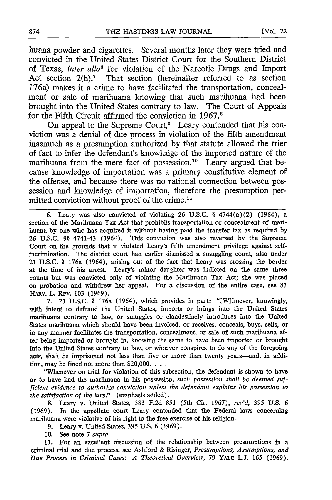huana powder and cigarettes. Several months later they were tried and convicted in the United States District Court for the Southern District of Texas, *inter alia6* for violation of the Narcotic Drugs and Import Act section 2(h).<sup>7</sup> That section (hereinafter referred to as section 176a) makes it a crime to have facilitated the transportation, concealment or sale of marihuana knowing that such marihuana had been brought into the United States contrary to law. The Court of Appeals for the Fifth Circuit affirmed the conviction in 1967.8

On appeal to the Supreme Court,<sup>9</sup> Leary contended that his conviction was a denial of due process in violation of the fifth amendment inasmuch as a presumption authorized by that statute allowed the trier of fact to infer the defendant's knowledge of the imported nature of the marihuana from the mere fact of possession.<sup>10</sup> Leary argued that because knowledge of importation was a primary constitutive element of the offense, and because there was no rational connection between possession and knowledge of importation, therefore the presumption permitted conviction without proof of the crime.<sup>11</sup>

6. Leary was also convicted of violating 26 U.S.C. § 4744(a)(2) (1964), a section of the Marihuana Tax Act that prohibits transportation or concealment of marihuana by one who has acquired it without having paid the transfer tax as required by 26 U.S.C. §§ 4741-43 (1964). This conviction was also reversed by the Supreme Court on the grounds that it violated Leary's fifth amendment privilege against selfincrimination. The district court had earlier dismissed a smuggling count, also under 21 U.S.C. § 176a (1964), arising out of the fact that Leary was crossing the border at the time of his arrest. Leary's minor daughter was indicted on the same three counts but was convicted only of violating the Marihuana Tax Act; she was placed on probation and withdrew her appeal. For a discussion of the entire case, see 83 HARv. L. REv. 103 (1969).

7. 21 U.S.C. § 176a (1964), which provides in part: "[Wihoever, knowingly, with intent to defraud the United States, imports or brings into the United States marihuana contrary to law, or smuggles or clandestinely introduces into the United States marihuana which should have been invoiced, or receives, conceals, buys, sells, or in any manner facilitates the transportation, concealment, or sale of such marihuana after being imported or brought in, knowing the same to have been imported or brought into the United States contrary to law, or whoever conspires to do any of the foregoing acts, shall be imprisoned not less than five or more than twenty years-and, in addition, may be fined not more than  $$20,000$ .  $\ldots$ 

"Whenever on trial for violation of this subsection, the defendant is shown to have or to have had the marihuana in his possession, *such possession shall be deemed sufficient evidence to authorize conviction unless the defendant explains his possession to the satisfaction of the jury."* (emphasis added).

8. Leary v. United States, 383 F.2d 851 (5th Cir. 1967), *rev'd, 395* U.S. *6* (1969). In the appellate court Leary contended that the Federal laws concerning marihuana were violative of his right to the free exercise of his religion.

9. Leary v. United States, 395 U.S. 6 (1969).

10. See note 7 *supra.*

11. For an excellent discussion of the relationship between presumptions in a criminal trial and due process, see Ashford & Risinger, *Presumptions, Assumptions, and Due Process in Criminal Cases: A Theoretical Overview,* 79 YALE **L.J.** 165 (1969).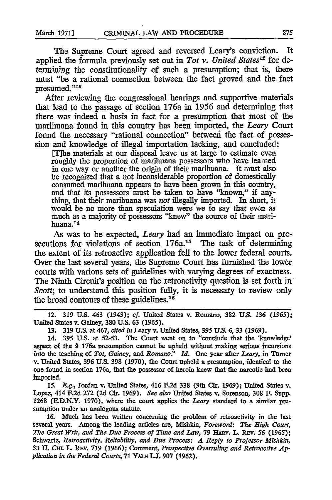The Supreme Court agreed and reversed Leary's conviction. It applied the formula previously set out in *Tot v. United States12* for determining the constitutionality of such a presumption; that is, there must "be a rational connection between the fact proved and the fact presumed."<sup>13</sup>

After reviewing the congressional hearings and supportive materials that lead to the passage of section 176a in 1956 and determining that there was indeed a basis in fact for a presumption that most of the marihuana found in this country has been imported, the *Leary* Court found the necessary "rational connection" between the fact of possession and knowledge of illegal importation lacking, and concluded:

[T]he materials at our disposal leave us at large to estimate even roughly the proportion of marihuana possessors who have learned in one way or another the origin of their marihuana. It must also be recognized that a not inconsiderable proportion of domestically consumed marihuana appears to have been grown in this country, and that its possessors must be taken to have "known," if anything, that their marihuana was *not* illegally imported. In short, it would be no more than speculation were we to say that even as much as a majority of possessors "knew" the source of their marihuana.14

As was to be expected, *Leary* had an immediate impact on prosecutions for violations of section 176a.<sup>15</sup> The task of determining the extent of its retroactive application fell to the lower federal courts. Over the last several years, the Supreme Court has furnished the lower courts with various sets of guidelines with varying degrees of exactness. The Ninth Circuit's position on the retroactivity question is set forth in' *Scott*; to understand this position fully, it is necessary to review only the broad contours of these guidelines. $16$ 

12. **319 U.S.** 463 (1943); **cf.** United States v. Romano, **382 U.S. 136** *(1965);* United States v. Gainey, **380 U.S. 63** (1965).

**13. 319 U.S.** at 467, *cited in* Leary v. United States, *395* **U.S.** 6, 33 **(1969).**

14. 395 **U.S.** at 52-53. The Court went on to "conclude that the 'knowledge' aspect of the § 176a presumption cannot be upheld without making serious incursions into the teaching of *Tot, Gainey, and Romano:" Id.* One year after *Leary,* in Turner v. United States, 396 **U.S. 398 (1970),** the Court upheld a presumption, identical to the one found in section 176a, that the possessor of heroin knew that the narcotic had been imported.

*15. E.g.,* Jordan v. United States, 416 **F.2d 338** (9th Cir. **1969);** United States v. Lopez, 414 **F.2d 272 (2d** Cir. **1969).** *See also* United States v. Sorenson, **308** F. Supp. **1268 (E.D.N.Y.** 1970), where the court applies the *Leary* standard to a similar presumption under an analogous statute.

**16.** Much has been written concerning the problem of retroactivity in the last several years. Among the leading articles are, Mishkin, *Foreword: The High Court, The Great Writ, and The Due Process of Time and Law,* **79** HARv. L. REv. **56** *(1965);* Schwartz, *Retroactivity, Reliability, and Due Process: A Reply to Professor Mishkin,* **33 U.** Cm. **1.** R v. **719 (1966);** Comment, *Prospective Overruling and Retroactive Application in the Federal Courts,* **71** YALE **UJ. 907 (1962).**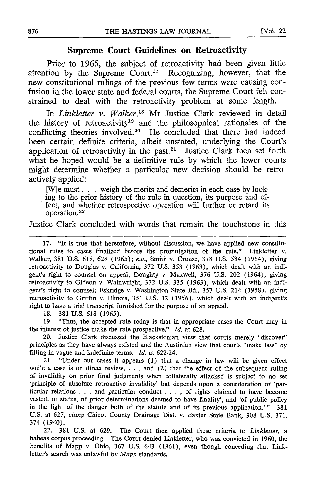#### **Supreme Court Guidelines on Retroactivity**

Prior to 1965, the subject of retroactivity had been given little attention by the Supreme Court.<sup>17</sup> Recognizing, however, that the new constitutional rulings of the previous few terms were causing confusion in the lower state and federal courts, the Supreme Court felt constrained to deal with the retroactivity problem at some length.

In *Linkletter v. Walker*,<sup>18</sup> Mr Justice Clark reviewed in detail the history of retroactivity<sup>19</sup> and the philosophical rationales of the conflicting theories involved.<sup>20</sup> He concluded that there had indeed been certain definite criteria, albeit unstated, underlying the Court's application of retroactivity in the past. $21$  Justice Clark then set forth what he hoped would be a definitive rule by which the lower courts might determine whether a particular new decision should be retroactively applied:

[W]e must. **. .** weigh the merits and demerits in each case by looking to the prior history of the rule in question, its purpose and effect, and whether retrospective operation will further or retard its operation. <sup>22</sup>

Justice Clark concluded with words that remain the touchstone in this

17. "It is true that heretofore, without discussion, we have applied new constitutional rules to cases finalized before the promulgation of the rule." Linkletter v. Walker, 381 U.S. 618, 628 (1965); *e.g.,* Smith v. Crouse, 378 U.S. 584 (1964), giving retroactivity to Douglas v. California, 372 U.S. 353 (1963), which dealt with an indigent's right to counsel on appeal; Doughty v. Maxwell, 376 U.S. 202 (1964), giving retroactivity to Gideon v. Wainwright, 372 U.S. 335 (1963), which dealt with an indigent's right to counsel; Eskridge v. Washington State Bd., 357 U.S. 214 (1958), giving retroactivity to Griffin v. Illinois, 351 U.S. 12 (1956), which dealt with an indigent's right to have a trial transcript furnished for the purpose of an appeal.

18. 381 U.S. 618 (1965).

19. "Thus, the accepted rule today is that in appropriate cases the Court may in the interest of justice make the rule prospective." *Id.* at 628.

20. Justice Clark discussed the Blackstonian view that courts merely "discover" principles as they have always existed and the Austinian view that courts "make law" by filling in vague and indefinite terms. *Id.* at 622-24.

21. "Under our cases it appears **(1)** that a change in law will be given effect while a case is on direct review,  $\dots$  and (2) that the effect of the subsequent ruling of invalidity on prior final judgments when collaterally attacked is subject to no set 'principle of absolute retroactive invalidity' but depends upon a consideration of 'particular relations . . . and particular conduct . . . , of rights claimed to have become vested, of status, of prior determinations deemed to have finality'; and 'of public policy in the light of the danger both of the statute and of its previous application.'" 381 U.S. at 627, *citing* Chicot County Drainage Dist. v. Baxter State Bank, 308 U.S. 371, 374 (1940).

22. 381 U.S. at 629. The Court then applied these criteria to *Linkletter, a* habeas corpus proceeding. The Court denied Linkletter, who was convicted in 1960, the benefits of Mapp v. Ohio, 367 U.S. 643 (1961), even though conceding that Linkletter's search was unlawful by *Mapp* standards.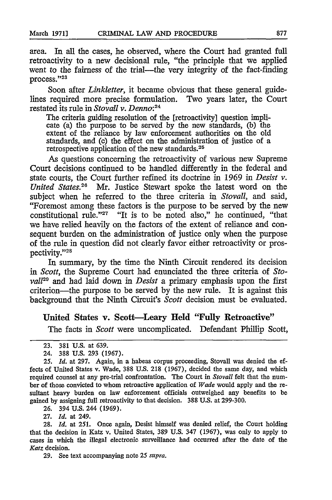area. In all the cases, he observed, where the Court had granted full retroactivity to a new decisional rule, "the principle that we applied went to the fairness of the trial-the very integrity of the fact-finding process."23

Soon after *Linkletter,* it became obvious that these general guidelines required more precise formulation. Two years later, the Court restated its rule in *Stovall v. Denno:24*

The criteria guiding resolution of the [retroactivity] question implicate (a) the purpose to be served by the new standards, **(b)** the extent of the reliance by law enforcement authorities on the old standards, and (c) the effect on the administration of justice of a retrospective application of the new standards. <sup>25</sup>

As questions concerning the retroactivity of various new Supreme Court decisions continued to be handled differently in the federal and state courts, the Court further refined its doctrine in 1969 in *Desist v. United States.26* Mr. Justice Stewart spoke the latest word on the subject when he referred to the three criteria in *Stovall,* and said, "Foremost among these factors is the purpose to be served by the new constitutional rule."<sup>27</sup> "It is to be noted also," he continued, "that we have relied heavily on the factors of the extent of reliance and consequent burden on the administration of justice only when the purpose of the rule in question did not clearly favor either retroactivity or prospectivity."28

In summary, by the time the Ninth Circuit rendered its decision *in Scott,* the Supreme Court had enunciated the three criteria of *Stovail29* and had laid down in *Desist* a primary emphasis upon the first criterion-the purpose to be served by the new rule. It is against this background that the Ninth Circuit's *Scott* decision must be evaluated.

## United States v. Scott-Leary Held **"Fully** Retroactive"

The facts in *Scott* were uncomplicated. Defendant Philip Scott,

26. 394 U.S. 244 (1969).

27. *Id.* at 249.

28. *Id.* at 251. Once again, Desist himself was denied relief, the Court holding that the decision in Katz v. United States, 389 U.S. 347 (1967), was only to apply to cases in which the illegal electronic surveillance had occurred after the date of the *Katz* decision.

**<sup>23.</sup>** 381 U.S. at 639.

<sup>24. 388</sup> U.S. 293 (1967).

<sup>25.</sup> *Id.* at 297. Again, in a habeas corpus proceeding, Stovall was denied the effects of United States v. Wade, 388 U.S. 218 (1967), decided the same day, and which required counsel at any pre-trial confrontation. The Court in *Stovall* felt that the number of those convicted to whom retroactive application of *Wade* would apply and the resultant heavy burden on law enforcement officials outweighed any benefits to be gained by assigning full retroactivity to that decision. 388 U.S. at 299-300.

<sup>29.</sup> See text accompanying note 25 *supra.*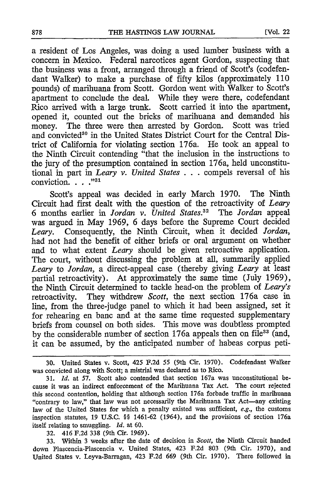a resident of Los Angeles, was doing a used lumber business with a concern in Mexico. Federal narcotices agent Gordon, suspecting that the business was a front, arranged through a friend of Scott's (codefendant Walker) to make a purchase of fifty kilos (approximately 110 pounds) of marihuana from Scott. Gordon went with Walker to Scott's apartment to conclude the deal. While they were there, codefendan Rico arrived with a large trunk. Scott carried it into the apartment, opened it, counted out the bricks of marihuana and demanded his money. The three were then arrested by Gordon. Scott was tried and convicted<sup>30</sup> in the United States District Court for the Central District of California for violating section 176a. He took an appeal to the Ninth Circuit contending "that the inclusion in the instructions to the jury of the presumption contained in section 176a, held unconstitutional in part in *Leary v. United States* . . .compels reversal of his conviction. **... 31**

Scott's appeal was decided in early March 1970. The Ninth Circuit had first dealt with the question of the retroactivity of *Leary* 6 months earlier in *Jordan v. United States.32* The *Jordan* appeal was argued in May 1969, 6 days before the Supreme Court decided *Leary.* Consequently, the Ninth Circuit, when it decided *Jordan,* had not had the benefit of either briefs or oral argument on whether and to what extent *Leary* should be given retroactive application. The court, without discussing the problem at all, summarily applied *Leary* to *Jordan,* a direct-appeal case (thereby giving *Leary* at least partial retroactivity). At approximately the same time (July 1969), the Ninth Circuit determined to tackle head-on the problem of *Leary's* retroactivity. They withdrew *Scott,* the next section 176a case in line, from the three-judge panel to which it had been assigned, set it for rehearing en banc and at the same time requested supplementary briefs from counsel on both sides. This move was doubtless prompted by the considerable number of section  $176a$  appeals then on file<sup>33</sup> (and, it can be assumed, by the anticipated number of habeas corpus peti-

32. 416 F.2d 338 (9th Cir. 1969).

33. Within 3 weeks after the date of decision in *Scott,* the Ninth Circuit handed down Plascencia-Plascencia v. United States, 423 F.2d 803 (9th Cir. 1970), and United States v. Leyva-Barragan, 423 F.2d 669 (9th Cir. 1970). There followed in

**<sup>30.</sup>** United States v. Scott, **425 F.2d 55** (9th Cir. **1970).** Codefendant Walker was convicted along with Scott; a mistrial was declared as to Rico.

<sup>31.</sup> *Id.* at **57.** Scott also contended that section 167a was unconstitutional because it was an indirect enforcement of the Marihuana Tax Act. The court rejected this second contention, holding that although section 176a forbade traffic in marihuana "contrary to law," that law was not necessarily the Marihuana Tax Act-any existing law of the United States for which a penalty existed was sufficient, e.g., the customs inspection statutes, 19 U.S.C. §§ 1461-62 (1964), and the provisions of section 176a itself relating to smuggling. *Id.* at 60.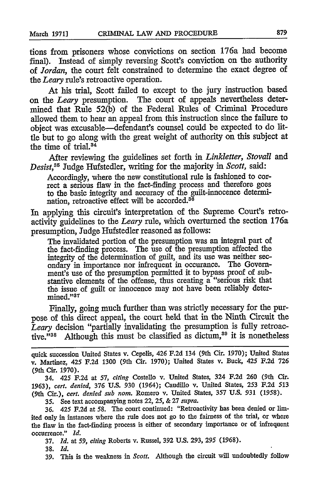tions from prisoners whose convictions on section 176a had become final). Instead of simply reversing Scott's conviction on the authority of *Jordan,* the court felt constrained to determine the exact degree of *the Leary* rule's retroactive operation.

At his trial, Scott failed to except to the jury instruction based on the *Leary* presumption. The court of appeals nevertheless determined that Rule *52(b)* of the Federal Rules of Criminal Procedure allowed them to hear an appeal from this instruction since the failure to object was excusable-defendant's counsel could be expected to do little but to go along with the great weight of authority on this subject at the time of trial. $34$ 

After reviewing the guidelines set forth in *Linkletter, Stovall* and *Desist,85* Judge Hufstedler, writing for the majority in *Scott,* said:

Accordingly, where the new constitutional rule is fashioned to correct a serious flaw in the fact-finding process and therefore goes to the basic integrity and accuracy of the guilt-innocence determination, retroactive effect will be accorded.<sup>36</sup>

In applying this circuit's interpretation of the Supreme Court's retroactivity guidelines to the *Leary* rule, which overturned the section 176a presumption, Judge Hufstedler reasoned as follows:

The invalidated portion of the presumption was an integral part of the fact-finding process. The use of the presumption affected the integrity of the determination of guilt, and its use was neither secondary in importance nor infrequent in occurance. The Government's use of the presumption permitted it to bypass proof of substantive elements of the offense, thus creating a "serious risk that the issue of guilt or innocence may not have been reliably determined."<sup>37</sup>

Finally, going much further than was strictly necessary for the purpose of this direct appeal, the court held that in the Ninth Circuit the *Leary* decision "partially invalidating the presumption is fully retroactive."<sup>38</sup> Although this must be classified as dictum,<sup>39</sup> it is nonetheless

quick succession United States v. Cepelis, 426 F.2d 134 (9th Cir. **1970);** United States v. Martinez, 425 F.2d 1300 (9th Cir. 1970); United States v. Buck, 425 F.2d 726 (9th Cir. 1970).

34. 425 F.2d at 57, *citing* Costello v. United States, 324 F.2d 260 (9th Cir. **1963),** *cert. denied,* 376 U.S. 930 (1964); Caudillo v. United States, 253 F.2d 513 (9th Cir.), *cert. denied sub nom.* Romero v. United States, 357 U.S. 931 (1958).

35. See text accompanying notes 22, 25, & 27 *supra.*

36. 425 **F.2d** at 58. The court continued: "Retroactivity has been denied or limited only in instances where the rule does not go to the fairness of the trial, or where the flaw in the fact-finding process is either of secondary importance or of infrequent occurrence." *Id.*

**37.** *Id.* **at** *59, citing* Roberts v. Russel, 392 U.S. 293, **295** (1968).

38. *Id.*

**39.** This is the weakness in *Scott.* Although the circuit will undoubtedly follow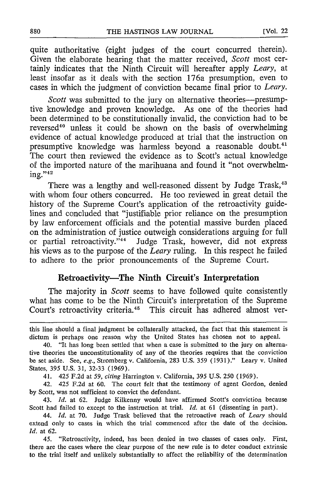quite authoritative (eight judges of the court concurred therein). Given the elaborate hearing that the matter received, *Scott* most certainly indicates that the Ninth Circuit will hereafter apply *Leary,* at least insofar as it deals with the section 176a presumption, even to cases in which the judgment of conviction became final prior to *Leary.*

*Scott* was submitted to the jury on alternative theories---presumptive knowledge and proven knowledge. As one of the theories had been determined to be constitutionally invalid, the conviction had to be reversed<sup>40</sup> unless it could be shown on the basis of overwhelming evidence of actual knowledge produced at trial that the instruction on presumptive knowledge was harmless beyond a reasonable doubt.<sup>41</sup> The court then reviewed the evidence as to Scott's actual knowledge of the imported nature of the marihuana and found it "not overwhelming." $42$ 

There was a lengthy and well-reasoned dissent by Judge Trask,<sup>43</sup> with whom four others concurred. He too reviewed in great detail the history of the Supreme Court's application of the retroactivity guidelines and concluded that "justifiable prior reliance on the presumption **by** law enforcement officials and the potential massive burden placed on the administration of justice outweigh considerations arguing for full or partial retroactivity."<sup>44</sup> Judge Trask, however, did not express his views as to the purpose of the *Leary* ruling. In this respect he failed to adhere to the prior pronouncements of the Supreme Court.

#### **Retroactivity-The Ninth Circuit's Interpretation**

The majority in *Scott* seems to have followed quite consistently what has come to be the Ninth Circuit's interpretation of the Supreme Court's retroactivity criteria.45 This circuit has adhered almost ver-

41. 425 **F.2d** at *59, citing* Harrington v. California, **395 U.S. 250 (1969).**

42. 425 **F.2d** at **60.** The court felt that the testimony of agent Gordon, denied **by** Scott, was not sufficient to convict the defendant.

43. *Id.* at **62.** Judge Kilkenny would have affirmed Scott's conviction because Scott had failed to except to the instruction at trial. *Id.* at **61** (dissenting in part).

this line should a final judgment be collaterally attacked, the fact that this statement is dictum is perhaps one reason why the United States has chosen not to appeal.

<sup>40. &</sup>quot;It has long been settled that when a case is submitted to the jury on alternative theories the unconstitutionality of any of the theories requires that the conviction be set aside. See, *e.g.,* Stromberg v. California, **283 U.S. 359 (1931)."** Leary v. United States, **395 U.S. 31, 32-33 (1969).**

<sup>44.</sup> *Id.* at **70.** Judge Trask believed that the retroactive reach of *Leary* should extend only to cases in which the trial commenced after the date of the decision. *Id.* at **62.**

<sup>45. &</sup>quot;Retroactivity, indeed, has been denied in two classes of cases only. First, there are the cases where the clear purpose of the new rule is to deter conduct extrinsic to the trial itself and unlikely substantially to affect the reliability of the determination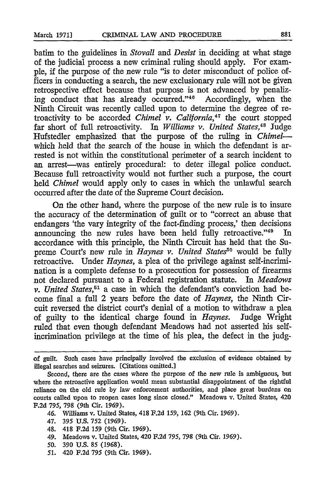batim to the guidelines in *Stovall and Desist* in deciding at what stage of the judicial process a new criminal ruling should apply. For example, if the purpose of the new rule "is to deter misconduct of police officers in conducting a search, the new exclusionary rule will not be given retrospective effect because that purpose is not advanced by penalizing conduct that has already occurred."<sup>46</sup> Accordingly, when the Ninth Circuit was recently called upon to determine the degree of retroactivity to be accorded *Chimel* v. California,<sup>47</sup> the court stopped far short of full retroactivity. In *Williams v. United States*,<sup>48</sup> Judge Hufstedler emphasized that the purpose of the ruling in *Chimel*which held that the search of the house in which the defendant is arrested is not within the constitutional perimeter of a search incident to an arrest-was entirely procedural: to deter illegal police conduct. Because full retroactivity would not further such a purpose, the court held *Chimel* would apply only to cases in which the unlawful search occurred after the date of the Supreme Court decision.

On the other hand, where the purpose of the new rule is to insure the accuracy of the determination of guilt or to "correct an abuse that endangers 'the vary integrity of the fact-finding process,' then decisions announcing the new rules have been held fully retroactive."<sup>49</sup> In accordance with this principle, the Ninth Circuit has held that the Supreme Court's new rule in *Haynes v. United States*<sup>50</sup> would be fully retroactive. Under *Haynes,* a plea of the privilege against self-incrimination is a complete defense to a prosecution for possession of firearms not declared pursuant to a Federal registration statute. *In Meadows v. United States,51* a case in which the defendant's conviction had become final a full 2 years before the date of *Haynes,* the Ninth Circuit reversed the district court's denial of a motion to withdraw a plea of guilty to the identical charge found in *Haynes.* Judge Wright ruled that even though defendant Meadows had not asserted his selfincrimination privilege at the time of his plea, the defect in the judg-

- 47. **395** U.S. 752 **(1969).**
- 48. 418 **F.2d 159** (9th Cir. 1969).
- 49. Meadows v. United States, 420 F.2d **795,** 798 (9th Cir. **1969).**
- *50.* **390 U.S. 85** (1968).
- *51.* 420 **F.2d 795** (9th Cir. **1969).**

of guilt. Such cases have principally involved the exclusion of evidence obtained by illegal searches and seizures. [Citations omitted.]

Second, there are the cases where the purpose of the new rule is ambiguous, but where the retroactive application would mean substantial disappointment of the rightful reliance on the old rule **by** law enforcement authorities, and place great burdens on courts called upon to reopen cases long since closed." Meadows v. United States, 420 **F.2d 795,** 798 (9th Cir. 1969).

<sup>46.</sup> Williams v. United States, 418 F.2d 159, 162 (9th Cir. 1969).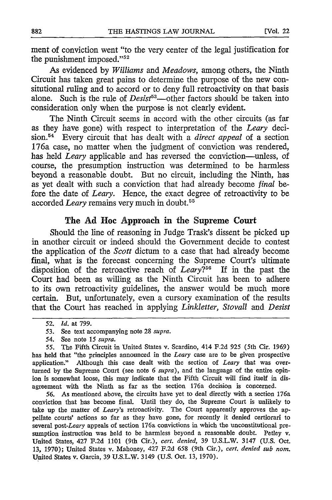ment of conviction went "to the very center of the legal justification for the punishment imposed." $52$ 

As evidenced by *Williams and Meadows,* among others, the Ninth Circuit has taken great pains to determine the purpose of the new consitutional ruling and to accord or to deny full retroactivity on that basis alone. Such is the rule of *Desist*<sup>53</sup>—other factors should be taken into consideration only when the purpose is not clearly evident.

The Ninth Circuit seems in accord with the other circuits (as far as they have gone) with respect to interpretation of the *Leary* decision.<sup>54</sup> Every circuit that has dealt with a *direct appeal* of a section 176a case, no matter when the judgment of conviction was rendered, has held *Leary* applicable and has reversed the conviction—unless, of course, the presumption instruction was determined to be harmless beyond a reasonable doubt. But no circuit, including the Ninth, has as yet dealt with such a conviction that had already become *final* before the date of *Leary.* Hence, the exact degree of retroactivity to be accorded *Leary* remains very much in doubt. <sup>5</sup>

#### **The Ad Hoe Approach in the Supreme Court**

Should the line of reasoning in Judge Trask's dissent be picked up in another circuit or indeed should the Government decide to contest the application of the *Scott* dictum to a case that had already become final, what is the forecast concerning the Supreme Court's ultimate disposition of the retroactive reach of  $Leary2^{56}$  If in the past the Court had been as willing as the Ninth Circuit has been to adhere to its own retroactivity guidelines, the answer would be much more certain. But, unfortunately, even a cursory examination of the results that the Court has reached in applying *Linkletter, Stovall and Desist*

*54.* See note *15 supra.*

56. As mentioned above, the circuits have yet to deal directly with a section 176a conviction that has become final. Until they do, the Supreme Court is unlikely to take up the matter of *Leary's* retroactivity. The Court apparently approves the appellate courts' actions so far as they have gone, for recently it denied certiorari to several post-Leary appeals of section 176a convictions in which the unconstitutional presumption instruction was held to be harmless beyond a reasonable doubt. Petley v. United States, 427 F.2d **1101** (9th Cir.), *cert. denied,* 39 U.S.L.W. 3147 (U.S. Oct. 13, 1970); United States v. Mahoney, 427 F.2d 658 (9th Cir.), *cert. denied sub nom.* United States v. Garcia, 39 U.S.L.W. 3149 (U.S. Oct. 13, 1970).

**<sup>52.</sup>** *id.* at **799.**

*<sup>53.</sup>* See text accompanying note **28** *supra.*

*<sup>55.</sup>* The Fifth Circuit in United States v. Scardino, 414 **F.2d** 925 (5th Cir. 1969) has held that "the principles announced in the *Leary* case are to be given prospective application." Although this case dealt with the section of *Leary* that was overturned by the Supreme Court (see note 6 *supra),* and the language of the entire opinion is somewhat loose, this may indicate that the Fifth Circuit will find itself in disagreement with the Ninth as far as the section 176a decision is concerned.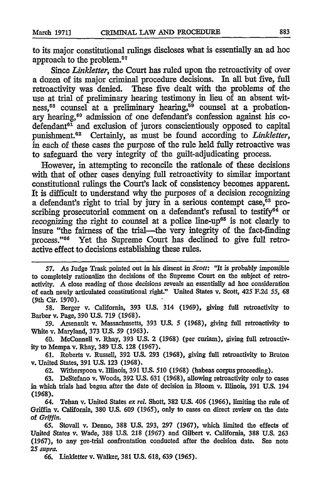to its major constitutional nlings discloses what is essentially an ad hoe approach to the problem.<sup>57</sup>

*Since Linkletter,* the Court has ruled upon the retroactivity of over a dozen of its major criminal procedure decisions. In all but five, full retroactivity was denied. These five dealt with the problems of the use at trial of preliminary hearing testimony in lieu of an absent witness,<sup>58</sup> counsel at a preliminary hearing,<sup>59</sup> counsel at a probationary hearing,<sup>60</sup> admission of one defendant's confession against his codefendant<sup>61</sup> and exclusion of jurors conscientiously opposed to capital punishment.<sup>62</sup> Certainly, as must be found according to *Linkletter*, in each of these cases the purpose of the rule held fully retroactive was to safeguard the very integrity of the guilt-adjudicating process.

However, in attempting to reconcile the rationale of these decisions with that of other cases denying full retroactivity to similar important constitutional rulings the Court's lack of consistency becomes apparent. It is difficult to understand why the purposes of a decision recognizing a defendant's right to trial by jury in a serious contempt case,<sup>63</sup> proscribing prosecutorial comment on a defendant's refusal to testify $^{64}$  or recognizing the right to counsel at a police line-up<sup>65</sup> is not clearly to insure "the fairness of the trial-the very integrity of the fact-finding process."<sup>66</sup> Yet the Supreme Court has declined to give full retroactive effect to decisions establishing these rules.

**58.** Berger v. California, 393 **U.S.** 314 (1969), giving **full** retroactivity to Barber v. Page, 390 U.S. 719 (1968).

59. Arsenault v. Massachusetts, 393 **U.S. 5** (1968), giving **full** retroactivity to White v. Maryland, 373 U.S. **59** (1963).

60. McConnell v. Rhay, **393 U.S.** 2 (1968) (per curiam), giving full retroactivity to Mempa v. Rhay, 389 **U.S. 128 (1967).**

**61.** Roberts v. Russell, 392 **U.S. 293 (1968),** giving **full** retroactivity to Bruton v. United States, **391 U.S. 123 (1968).**

**62.** Witherspoon v. Illinois, 391 **U.S. 510 (1968)** (habeas corpus proceeding).

**63.** DeStefano v. Woods, **392 U.S. 631 (1968),** allowing retroactivity only to cases in which trials had begun after the date of decision in Bloom v. Illinois, **391 U.S.** 194 (1968).

64. Tehan v. United States *ex rel.* Shott, **382 U.S.** 406 **(1966),** limiting the rule of Griffin v. California, **380 U.S.** 609 **(1965),** only to cases on direct review on the date of *Griffin.*

**65.** Stovall v. Denno, **388 U.S. 293, 297 (1967),** which limited the effects of United States **v.** Wade, **388 U.S. 218 (1967)** and Gilbert v. California, **388 U.S. 263 (1967),** to any pre-trial confrontation conducted after the decision date. See note *25 supra.*

**66.** Linldetter v. Walker, **381 U.S. 618, 639** *(1965).*

**<sup>57.</sup>** As Tudge Trask pointed out in his dissent in *Scott:* 'It is probably impossible to completely rationalize the decisions of the Supreme Court on the subject of retroactivity. **A** close reading of those decisions reveals an essentially ad hoc consideration of each newly articulated constitutional right." United States v. Scott, 425 F.2d *55,* **68** (9th Cir. **1970).**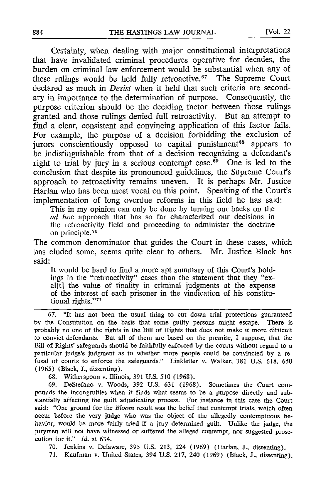Certainly, when dealing with major constitutional interpretations that have invalidated criminal procedures operative for decades, the burden on criminal law enforcement would be substantial when any of these rulings would be held fully retroactive.<sup>67</sup> The Supreme Court declared as much in *Desist* when it held that such criteria are secondary in importance to the determination of purpose. Consequently, the purpose criterion should be the deciding factor between those rulings granted and those rulings denied full retroactivity. But an attempt to find a clear, consistent and convincing application of this factor fails. For example, the purpose of a decision forbidding the exclusion of jurors conscientiously opposed to capital punishment<sup>68</sup> appears to be indistinguishable from that of a decision recognizing a defendant's right to trial by jury in a serious contempt case.<sup>69</sup> One is led to the conclusion that despite its pronounced guidelines, the Supreme Court's approach to retroactivity remains uneven. It is perhaps Mr. Justice Harlan who has been most vocal on this point. Speaking of the Court's implementation of long overdue reforms in this field he has said:

This in my opinion can only be done by turning our backs on the *ad hoc* approach that has so far characterized our decisions in the retroactivity field and proceeding to administer the doctrine on principle.<sup>70</sup>

The common denominator that guides the Court in these cases, which has eluded some, seems quite clear to others. Mr. Justice Black has said:

It would be hard to find a more apt summary of this Court's holdings in the "retroactivity" cases than the statement that they "exal[t] the value of finality in criminal judgments at the expense of the interest of each prisoner in the vindication of his constitutional rights."71

67. "It has not been the usual thing to cut down trial protections guaranteed by the Constitution on the basis that some guilty persons might escape. There is probably no one of the rights in the Bill of Rights that does not make it more difficult to convict defendants. But all of them are based on the premise, I suppose, that the Bill of Rights' safeguards should be faithfully enforced by the courts without regard to a particular judge's judgment as to whether more people could be convincted by a refusal of courts to enforce the safeguards." Linkletter v. Walker, 381 U.S. 618, *650* (1965) (Black, **J.,** dissenting).

68. Witherspoon v. Illinois, 391 U.S. 510 (1968).

69. DeStefano v. Woods, 392 U.S. 631 (1968). Sometimes the Court compounds the incongruities when it finds what seems to be a purpose directly and substantially affecting the guilt adjudicating process. For instance in this case the Court said: "One ground for the *Bloom* result was the belief that contempt trials, which often occur before the very judge who was the object of the allegedly contemptuous behavior, would be more fairly tried if a jury determined guilt. Unlike the judge, the jurymen will not have witnessed or suffered the alleged contempt, nor suggested prosecution for it." *Id.* at 634.

70. Jenkins v. Delaware, 395 U.S. 213, 224 (1969) (Harlan, I., dissenting).

71. Kaufman v. United States, 394 U.S. 217, 240 (1969) (Black, J., dissenting).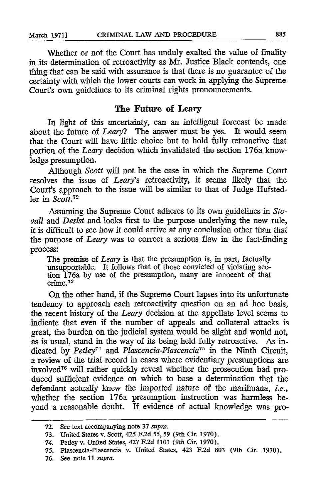Whether or not the Court has unduly exalted the value of finality in its determination of retroactivity as Mr. Justice Black contends, one thing that can be said with assurance is that there is no guarantee of the certainty with which the lower courts can work in applying the Supreme Court's own guidelines to its criminal rights pronouncements.

#### The Future of Leary

In light of this uncertainty, can an intelligent forecast be made about the future of *Leary?* The answer must be yes. It would seem that the Court will have little choice but to hold fully retroactive that portion of the *Leary* decision which invalidated the section 176a knowledge presumption.

Although *Scott* will not be the case in which the Supreme Court resolves the issue of *Leary's* retroactivity, it seems likely that the Court's approach to the issue will be similar to that of Judge Hufstedler in *Scott.72*

Assuming the Supreme Court adheres to its own guidelines in *Stovail and Desist* and looks first to the purpose underlying the new rule, it is difficult to see how it could arrive at any conclusion other than that the purpose of *Leary* was to correct a serious flaw in the fact-finding process:

The premise of *Leary* is that the presumption is, in part, factually unsupportable. It follows that of those convicted of violating section 176a by use of the presumption, many are innocent of that crime.<sup>73</sup>

On the other hand, if the Supreme Court lapses into its unfortunate tendency to approach each retroactivity question on an ad hoe basis, the recent history of the *Leary* decision at the appellate level seems to indicate that even if the number of appeals and collateral attacks is great, the burden on the judicial system would be slight and would not, as is usual, stand in the way of its being held fully retroactive. As indicated by *Petley"4 and Plascencia-Plascencia 5* in the Ninth Circuit, a review of the trial record in cases where evidentiary presumptions are involved"6 will rather quickly reveal whether the prosecution had produced sufficient evidence on which to base a determination that the defendant actually knew the imported nature of the marihuana, *i.e.,* whether the section 176a presumption instruction was harmless beyond a reasonable doubt. If evidence of actual knowledge was pro-

**<sup>72.</sup>** See text accompanying note **37** *supra.*

**<sup>73.</sup>** United States v. Scott, 425 **F.2d** 55, 59 (9th Cir. **1970).**

<sup>74.</sup> Petley v. United States, 427 **F.2d 1101** (9th Cir. **1970).**

<sup>75.</sup> Plascencia-Plascencia v. United States, 423 **F.2d 803** (9th Cir. **1970).**

**<sup>76.</sup> See** note **11** *supra.*